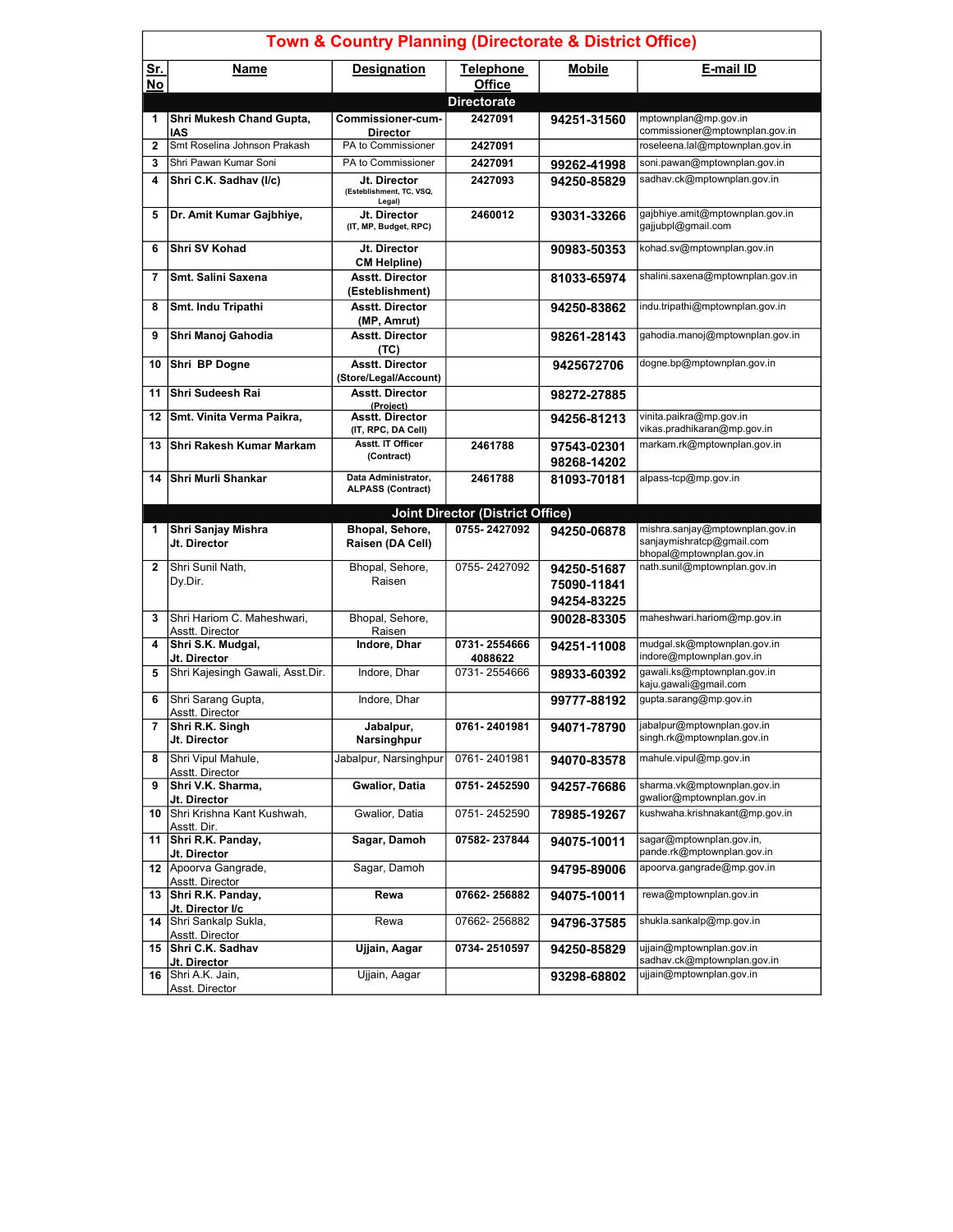| <b>Town &amp; Country Planning (Directorate &amp; District Office)</b> |                                                            |                                                    |                                         |                            |                                                                                          |  |
|------------------------------------------------------------------------|------------------------------------------------------------|----------------------------------------------------|-----------------------------------------|----------------------------|------------------------------------------------------------------------------------------|--|
| <u>Sr.</u><br>$No$                                                     | Name                                                       | <b>Designation</b>                                 | <b>Telephone</b><br><b>Office</b>       | <b>Mobile</b>              | E-mail ID                                                                                |  |
|                                                                        |                                                            |                                                    | <b>Directorate</b>                      |                            |                                                                                          |  |
| 1                                                                      | Shri Mukesh Chand Gupta,<br><b>IAS</b>                     | Commissioner-cum-<br><b>Director</b>               | 2427091                                 | 94251-31560                | mptownplan@mp.gov.in<br>commissioner@mptownplan.gov.in                                   |  |
| $\mathbf{2}$                                                           | Smt Roselina Johnson Prakash                               | PA to Commissioner                                 | 2427091                                 |                            | roseleena.lal@mptownplan.gov.in                                                          |  |
| 3                                                                      | Shri Pawan Kumar Soni                                      | PA to Commissioner                                 | 2427091                                 | 99262-41998                | soni.pawan@mptownplan.gov.in                                                             |  |
| $\overline{\mathbf{4}}$                                                | Shri C.K. Sadhav (I/c)                                     | Jt. Director<br>(Esteblishment, TC, VSQ,<br>Legal) | 2427093                                 | 94250-85829                | sadhav.ck@mptownplan.gov.in                                                              |  |
| 5                                                                      | Dr. Amit Kumar Gajbhiye,                                   | Jt. Director<br>(IT, MP, Budget, RPC)              | 2460012                                 | 93031-33266                | gajbhiye.amit@mptownplan.gov.in<br>gajjubpl@gmail.com                                    |  |
| 6                                                                      | Shri SV Kohad                                              | Jt. Director<br><b>CM Helpline)</b>                |                                         | 90983-50353                | kohad.sv@mptownplan.gov.in                                                               |  |
| $\overline{7}$                                                         | <b>Smt. Salini Saxena</b>                                  | <b>Asstt. Director</b><br>(Esteblishment)          |                                         | 81033-65974                | shalini.saxena@mptownplan.gov.in                                                         |  |
| 8                                                                      | Smt. Indu Tripathi                                         | <b>Asstt. Director</b><br>(MP, Amrut)              |                                         | 94250-83862                | indu.tripathi@mptownplan.gov.in                                                          |  |
| 9                                                                      | Shri Manoj Gahodia                                         | <b>Asstt. Director</b><br>(TC)                     |                                         | 98261-28143                | gahodia.manoj@mptownplan.gov.in                                                          |  |
| 10                                                                     | Shri BP Dogne                                              | <b>Asstt. Director</b><br>(Store/Legal/Account)    |                                         | 9425672706                 | dogne.bp@mptownplan.gov.in                                                               |  |
| 11                                                                     | Shri Sudeesh Rai                                           | <b>Asstt. Director</b><br>(Proiect)                |                                         | 98272-27885                |                                                                                          |  |
| 12                                                                     | Smt. Vinita Verma Paikra,                                  | <b>Asstt. Director</b><br>(IT, RPC, DA Cell)       |                                         | 94256-81213                | vinita.paikra@mp.gov.in<br>vikas.pradhikaran@mp.gov.in                                   |  |
| 13                                                                     | ∣Shri Rakesh Kumar Markam                                  | Asstt. IT Officer<br>(Contract)                    | 2461788                                 | 97543-02301<br>98268-14202 | markam.rk@mptownplan.gov.in                                                              |  |
| 14                                                                     | Shri Murli Shankar                                         | Data Administrator.<br><b>ALPASS (Contract)</b>    | 2461788                                 | 81093-70181                | alpass-tcp@mp.gov.in                                                                     |  |
|                                                                        |                                                            |                                                    | <b>Joint Director (District Office)</b> |                            |                                                                                          |  |
| 1                                                                      | Shri Sanjay Mishra<br>Jt. Director                         | Bhopal, Sehore,<br>Raisen (DA Cell)                | 0755-2427092                            | 94250-06878                | mishra.sanjay@mptownplan.gov.in<br>sanjaymishratcp@gmail.com<br>bhopal@mptownplan.gov.in |  |
| $\mathbf{2}$                                                           | Shri Sunil Nath,<br>Dy.Dir.                                | Bhopal, Sehore,<br>Raisen                          | 0755-2427092                            | 94250-51687<br>75090-11841 | nath.sunil@mptownplan.gov.in                                                             |  |
| 3                                                                      |                                                            |                                                    |                                         | 94254-83225                |                                                                                          |  |
|                                                                        | Shri Hariom C. Maheshwari,                                 | Bhopal, Sehore,                                    |                                         | 90028-83305                | maheshwari.hariom@mp.gov.in                                                              |  |
| 4                                                                      | Asstt. Director<br>Shri S.K. Mudgal,<br>Jt. Director       | Raisen<br>Indore, Dhar                             | 0731-2554666<br>4088622                 | 94251-11008                | mudgal.sk@mptownplan.gov.in<br>indore@mptownplan.gov.in                                  |  |
| 5                                                                      | Shri Kajesingh Gawali, Asst.Dir.                           | Indore, Dhar                                       | 0731-2554666                            | 98933-60392                | qawali.ks@mptownplan.qov.in<br>kaju.gawali@gmail.com                                     |  |
| 6                                                                      | Shri Sarang Gupta,<br>Asstt. Director                      | Indore, Dhar                                       |                                         | 99777-88192                | qupta.sarang@mp.gov.in                                                                   |  |
|                                                                        | Shri R.K. Singh<br>Jt. Director                            | Jabalpur,<br>Narsinghpur                           | 0761-2401981                            | 94071-78790                | jabalpur@mptownplan.gov.in<br>singh.rk@mptownplan.gov.in                                 |  |
| 8                                                                      | Shri Vipul Mahule,<br>Asstt. Director                      | Jabalpur, Narsinghpur                              | 0761-2401981                            | 94070-83578                | mahule.vipul@mp.gov.in                                                                   |  |
| 9                                                                      | Shri V.K. Sharma,<br>Jt. Director                          | Gwalior, Datia                                     | 0751-2452590                            | 94257-76686                | sharma.vk@mptownplan.gov.in<br>gwalior@mptownplan.gov.in                                 |  |
| 10                                                                     | Shri Krishna Kant Kushwah,<br>Asstt. Dir.                  | Gwalior, Datia                                     | 0751-2452590                            | 78985-19267                | kushwaha.krishnakant@mp.qov.in                                                           |  |
| 11                                                                     | Shri R.K. Panday,<br>Jt. Director                          | Sagar, Damoh                                       | 07582-237844                            | 94075-10011                | sagar@mptownplan.gov.in,<br>pande.rk@mptownplan.gov.in                                   |  |
|                                                                        | 12 Apoorva Gangrade,<br>Asstt. Director                    | Sagar, Damoh                                       |                                         | 94795-89006                | apoorva.gangrade@mp.gov.in                                                               |  |
|                                                                        | 13 Shri R.K. Panday,                                       | Rewa                                               | 07662-256882                            | 94075-10011                | rewa@mptownplan.gov.in                                                                   |  |
| 14                                                                     | Jt. Director I/c<br>Shri Sankalp Sukla,<br>Asstt. Director | Rewa                                               | 07662-256882                            | 94796-37585                | shukla.sankalp@mp.gov.in                                                                 |  |
|                                                                        | 15 Shri C.K. Sadhav<br>Jt. Director                        | Ujjain, Aagar                                      | 0734-2510597                            | 94250-85829                | ujjain@mptownplan.gov.in<br>sadhav.ck@mptownplan.gov.in                                  |  |